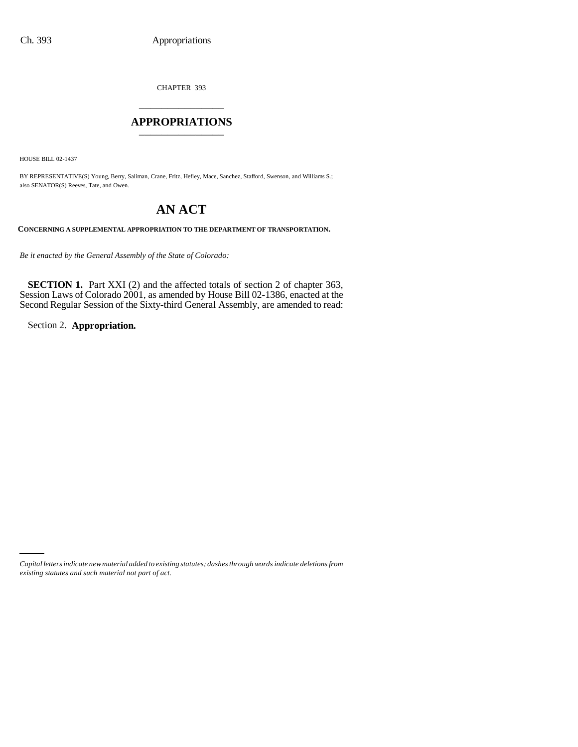CHAPTER 393 \_\_\_\_\_\_\_\_\_\_\_\_\_\_\_

### **APPROPRIATIONS** \_\_\_\_\_\_\_\_\_\_\_\_\_\_\_

HOUSE BILL 02-1437

BY REPRESENTATIVE(S) Young, Berry, Saliman, Crane, Fritz, Hefley, Mace, Sanchez, Stafford, Swenson, and Williams S.; also SENATOR(S) Reeves, Tate, and Owen.

# **AN ACT**

**CONCERNING A SUPPLEMENTAL APPROPRIATION TO THE DEPARTMENT OF TRANSPORTATION.**

*Be it enacted by the General Assembly of the State of Colorado:*

**SECTION 1.** Part XXI (2) and the affected totals of section 2 of chapter 363, Session Laws of Colorado 2001, as amended by House Bill 02-1386, enacted at the Second Regular Session of the Sixty-third General Assembly, are amended to read:

Section 2. **Appropriation.**

*Capital letters indicate new material added to existing statutes; dashes through words indicate deletions from existing statutes and such material not part of act.*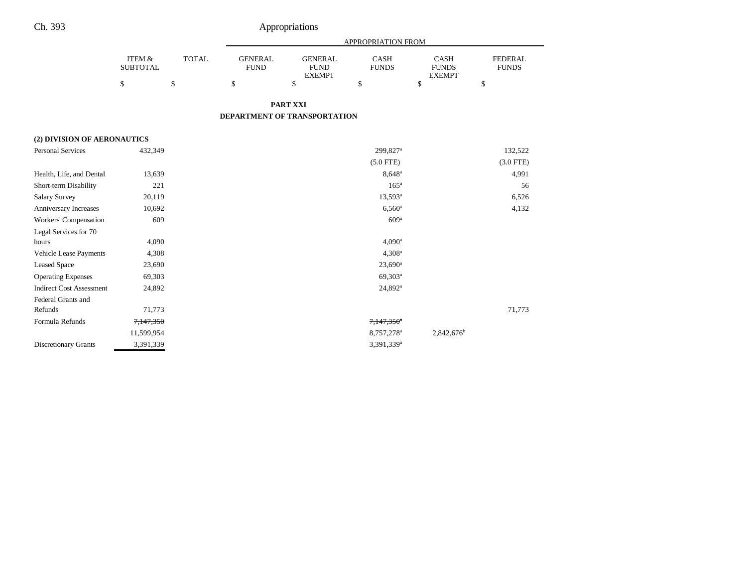## Ch. 393 Appropriations

|                                 | <b>APPROPRIATION FROM</b>            |              |                               |                                                |                             |                                              |                                |  |  |  |  |
|---------------------------------|--------------------------------------|--------------|-------------------------------|------------------------------------------------|-----------------------------|----------------------------------------------|--------------------------------|--|--|--|--|
|                                 | <b>ITEM &amp;</b><br><b>SUBTOTAL</b> | <b>TOTAL</b> | <b>GENERAL</b><br><b>FUND</b> | <b>GENERAL</b><br><b>FUND</b><br><b>EXEMPT</b> | <b>CASH</b><br><b>FUNDS</b> | <b>CASH</b><br><b>FUNDS</b><br><b>EXEMPT</b> | <b>FEDERAL</b><br><b>FUNDS</b> |  |  |  |  |
|                                 | \$                                   | \$           | \$                            | \$                                             | \$                          | \$                                           | \$                             |  |  |  |  |
|                                 |                                      |              |                               | <b>PART XXI</b>                                |                             |                                              |                                |  |  |  |  |
| DEPARTMENT OF TRANSPORTATION    |                                      |              |                               |                                                |                             |                                              |                                |  |  |  |  |
| (2) DIVISION OF AERONAUTICS     |                                      |              |                               |                                                |                             |                                              |                                |  |  |  |  |
| <b>Personal Services</b>        | 432,349                              |              |                               |                                                | 299,827 <sup>a</sup>        |                                              | 132,522                        |  |  |  |  |
|                                 |                                      |              |                               |                                                | $(5.0$ FTE)                 |                                              | $(3.0$ FTE)                    |  |  |  |  |
| Health, Life, and Dental        | 13,639                               |              |                               |                                                | $8.648$ <sup>a</sup>        |                                              | 4,991                          |  |  |  |  |
| Short-term Disability           | 221                                  |              |                               |                                                | 165 <sup>a</sup>            |                                              | 56                             |  |  |  |  |
| <b>Salary Survey</b>            | 20,119                               |              |                               |                                                | 13,593 <sup>a</sup>         |                                              | 6,526                          |  |  |  |  |
| Anniversary Increases           | 10,692                               |              |                               |                                                | $6,560^{\circ}$             |                                              | 4,132                          |  |  |  |  |
| Workers' Compensation           | 609                                  |              |                               |                                                | 609 <sup>a</sup>            |                                              |                                |  |  |  |  |
| Legal Services for 70           |                                      |              |                               |                                                |                             |                                              |                                |  |  |  |  |
| hours                           | 4,090                                |              |                               |                                                | 4.090 <sup>a</sup>          |                                              |                                |  |  |  |  |
| Vehicle Lease Payments          | 4,308                                |              |                               |                                                | $4,308^{\rm a}$             |                                              |                                |  |  |  |  |
| <b>Leased Space</b>             | 23,690                               |              |                               |                                                | $23,690^{\circ}$            |                                              |                                |  |  |  |  |
| <b>Operating Expenses</b>       | 69,303                               |              |                               |                                                | 69,303 <sup>a</sup>         |                                              |                                |  |  |  |  |
| <b>Indirect Cost Assessment</b> | 24,892                               |              |                               |                                                | $24,892^a$                  |                                              |                                |  |  |  |  |
| Federal Grants and              |                                      |              |                               |                                                |                             |                                              |                                |  |  |  |  |
| Refunds                         | 71,773                               |              |                               |                                                |                             |                                              | 71,773                         |  |  |  |  |
| Formula Refunds                 | 7,147,350                            |              |                               |                                                | $7,147,350$ *               |                                              |                                |  |  |  |  |
|                                 | 11,599,954                           |              |                               |                                                | 8,757,278 <sup>a</sup>      | $2,842,676$ <sup>b</sup>                     |                                |  |  |  |  |
| <b>Discretionary Grants</b>     | 3,391,339                            |              |                               |                                                | 3,391,339 <sup>a</sup>      |                                              |                                |  |  |  |  |